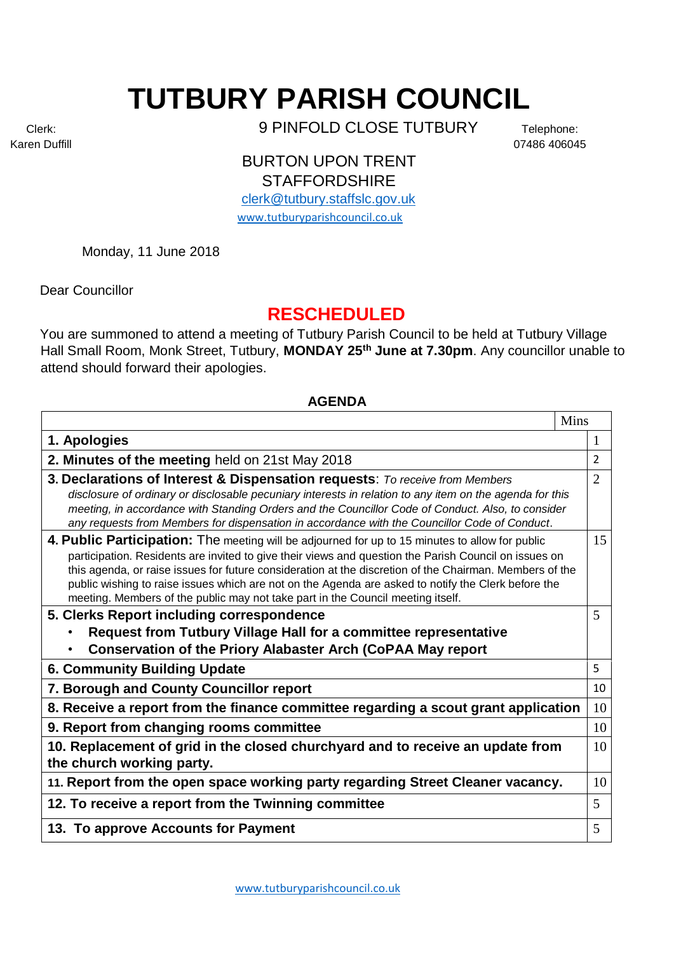## **TUTBURY PARISH COUNCIL**

Clerk: 9 PINFOLD CLOSE TUTBURY Telephone:

Karen Duffill 07486 406045

BURTON UPON TRENT **STAFFORDSHIRE** 

[clerk@tutbury.staffslc.gov.uk](mailto:clerk@tutbury.staffslc.gov.uk) [www.tutburyparishcouncil.co.uk](http://www.tutburyparishcouncil.co.uk/)

Monday, 11 June 2018

Dear Councillor

## **RESCHEDULED**

You are summoned to attend a meeting of Tutbury Parish Council to be held at Tutbury Village Hall Small Room, Monk Street, Tutbury, **MONDAY 25th June at 7.30pm**. Any councillor unable to attend should forward their apologies.

## **AGENDA**

|                                                                                                                                                                                                                | Mins           |
|----------------------------------------------------------------------------------------------------------------------------------------------------------------------------------------------------------------|----------------|
| 1. Apologies                                                                                                                                                                                                   | 1              |
| 2. Minutes of the meeting held on 21st May 2018                                                                                                                                                                | 2              |
| 3. Declarations of Interest & Dispensation requests: To receive from Members                                                                                                                                   | $\overline{2}$ |
| disclosure of ordinary or disclosable pecuniary interests in relation to any item on the agenda for this                                                                                                       |                |
| meeting, in accordance with Standing Orders and the Councillor Code of Conduct. Also, to consider<br>any requests from Members for dispensation in accordance with the Councillor Code of Conduct.             |                |
| 4. Public Participation: The meeting will be adjourned for up to 15 minutes to allow for public                                                                                                                | 15             |
| participation. Residents are invited to give their views and question the Parish Council on issues on                                                                                                          |                |
| this agenda, or raise issues for future consideration at the discretion of the Chairman. Members of the<br>public wishing to raise issues which are not on the Agenda are asked to notify the Clerk before the |                |
| meeting. Members of the public may not take part in the Council meeting itself.                                                                                                                                |                |
| 5. Clerks Report including correspondence                                                                                                                                                                      | 5              |
| Request from Tutbury Village Hall for a committee representative                                                                                                                                               |                |
| <b>Conservation of the Priory Alabaster Arch (CoPAA May report</b>                                                                                                                                             |                |
| <b>6. Community Building Update</b>                                                                                                                                                                            | 5              |
| 7. Borough and County Councillor report                                                                                                                                                                        | 10             |
| 8. Receive a report from the finance committee regarding a scout grant application                                                                                                                             | 10             |
| 9. Report from changing rooms committee                                                                                                                                                                        | 10             |
| 10. Replacement of grid in the closed churchyard and to receive an update from                                                                                                                                 | 10             |
| the church working party.                                                                                                                                                                                      |                |
| 11. Report from the open space working party regarding Street Cleaner vacancy.                                                                                                                                 | 10             |
| 12. To receive a report from the Twinning committee                                                                                                                                                            | 5              |
| 13. To approve Accounts for Payment                                                                                                                                                                            | 5              |